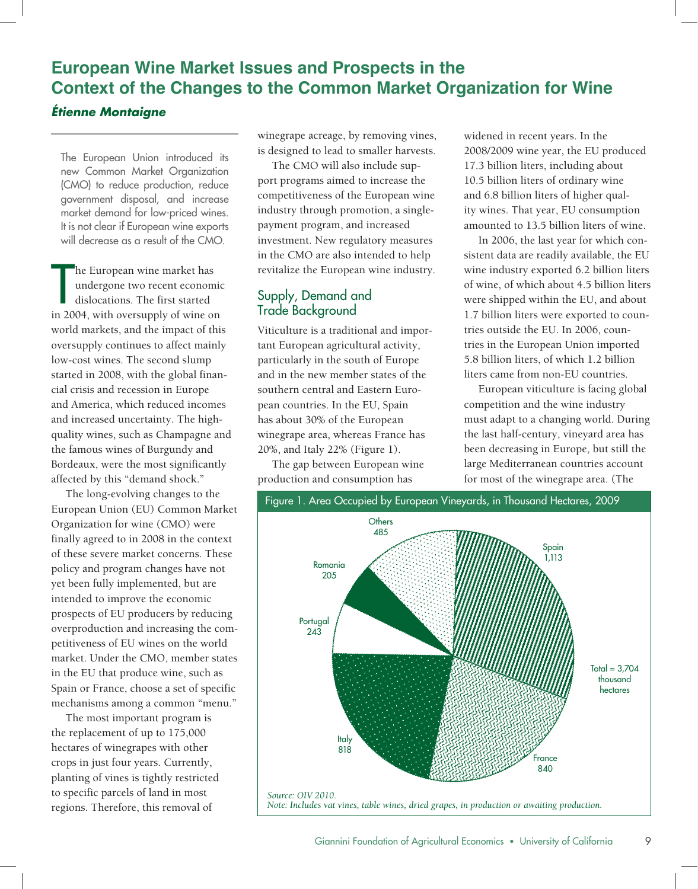# **European Wine Market Issues and Prospects in the Context of the Changes to the Common Market Organization for Wine**

#### *Étienne Montaigne*

The European Union introduced its new Common Market Organization (CMO) to reduce production, reduce government disposal, and increase market demand for low-priced wines. It is not clear if European wine exports will decrease as a result of the CMO.

he European wine market has<br>
undergone two recent economic<br>
dislocations. The first started<br>
in 2004, with oversupply of wine on he European wine market has undergone two recent economic dislocations. The first started world markets, and the impact of this oversupply continues to affect mainly low-cost wines. The second slump started in 2008, with the global financial crisis and recession in Europe and America, which reduced incomes and increased uncertainty. The highquality wines, such as Champagne and the famous wines of Burgundy and Bordeaux, were the most significantly affected by this "demand shock."

The long-evolving changes to the European Union (EU) Common Market Organization for wine (CMO) were finally agreed to in 2008 in the context of these severe market concerns. These policy and program changes have not yet been fully implemented, but are intended to improve the economic prospects of EU producers by reducing overproduction and increasing the competitiveness of EU wines on the world market. Under the CMO, member states in the EU that produce wine, such as Spain or France, choose a set of specific mechanisms among a common "menu."

The most important program is the replacement of up to 175,000 hectares of winegrapes with other crops in just four years. Currently, planting of vines is tightly restricted to specific parcels of land in most regions. Therefore, this removal of

winegrape acreage, by removing vines, is designed to lead to smaller harvests.

The CMO will also include support programs aimed to increase the competitiveness of the European wine industry through promotion, a singlepayment program, and increased investment. New regulatory measures in the CMO are also intended to help revitalize the European wine industry.

## Supply, Demand and Trade Background

Viticulture is a traditional and important European agricultural activity, particularly in the south of Europe and in the new member states of the southern central and Eastern European countries. In the EU, Spain has about 30% of the European winegrape area, whereas France has 20%, and Italy 22% (Figure 1).

The gap between European wine production and consumption has

widened in recent years. In the 2008/2009 wine year, the EU produced 17.3 billion liters, including about 10.5 billion liters of ordinary wine and 6.8 billion liters of higher quality wines. That year, EU consumption amounted to 13.5 billion liters of wine.

In 2006, the last year for which consistent data are readily available, the EU wine industry exported 6.2 billion liters of wine, of which about 4.5 billion liters were shipped within the EU, and about 1.7 billion liters were exported to countries outside the EU. In 2006, countries in the European Union imported 5.8 billion liters, of which 1.2 billion liters came from non-EU countries.

European viticulture is facing global competition and the wine industry must adapt to a changing world. During the last half-century, vineyard area has been decreasing in Europe, but still the large Mediterranean countries account for most of the winegrape area. (The

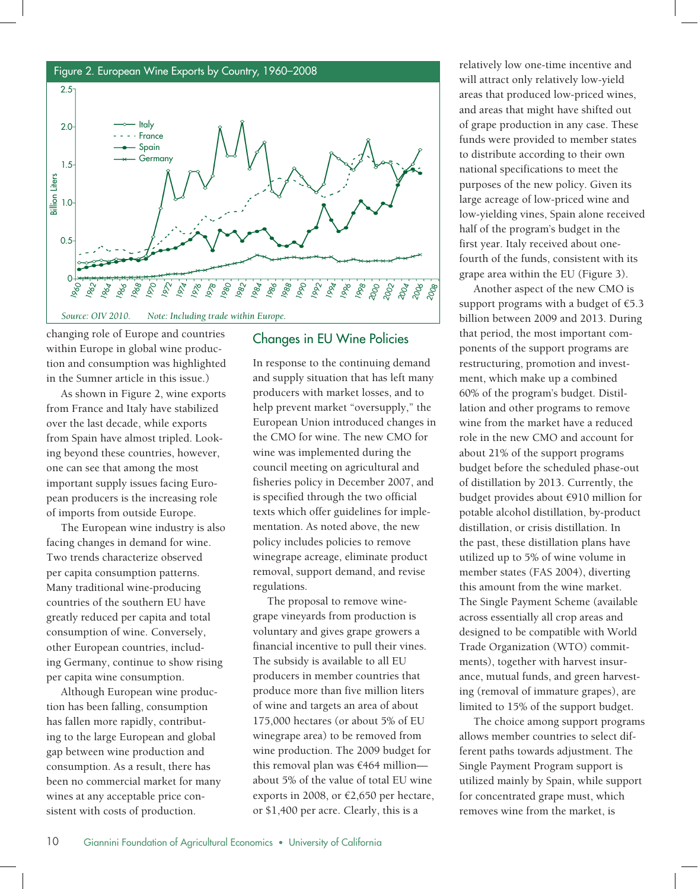

changing role of Europe and countries within Europe in global wine production and consumption was highlighted in the Sumner article in this issue.)

As shown in Figure 2, wine exports from France and Italy have stabilized over the last decade, while exports from Spain have almost tripled. Looking beyond these countries, however, one can see that among the most important supply issues facing European producers is the increasing role of imports from outside Europe.

The European wine industry is also facing changes in demand for wine. Two trends characterize observed per capita consumption patterns. Many traditional wine-producing countries of the southern EU have greatly reduced per capita and total consumption of wine. Conversely, other European countries, including Germany, continue to show rising per capita wine consumption.

Although European wine production has been falling, consumption has fallen more rapidly, contributing to the large European and global gap between wine production and consumption. As a result, there has been no commercial market for many wines at any acceptable price consistent with costs of production.

#### Changes in EU Wine Policies

In response to the continuing demand and supply situation that has left many producers with market losses, and to help prevent market "oversupply," the European Union introduced changes in the CMO for wine. The new CMO for wine was implemented during the council meeting on agricultural and fisheries policy in December 2007, and is specified through the two official texts which offer guidelines for implementation. As noted above, the new policy includes policies to remove winegrape acreage, eliminate product removal, support demand, and revise regulations.

The proposal to remove winegrape vineyards from production is voluntary and gives grape growers a financial incentive to pull their vines. The subsidy is available to all EU producers in member countries that produce more than five million liters of wine and targets an area of about 175,000 hectares (or about 5% of EU winegrape area) to be removed from wine production. The 2009 budget for this removal plan was €464 million about 5% of the value of total EU wine exports in 2008, or €2,650 per hectare, or \$1,400 per acre. Clearly, this is a

will attract only relatively low-yield areas that produced low-priced wines, and areas that might have shifted out of grape production in any case. These funds were provided to member states to distribute according to their own national specifications to meet the purposes of the new policy. Given its large acreage of low-priced wine and low-yielding vines, Spain alone received half of the program's budget in the first year. Italy received about onefourth of the funds, consistent with its grape area within the EU (Figure 3).

Another aspect of the new CMO is support programs with a budget of  $\epsilon$ 5.3 billion between 2009 and 2013. During that period, the most important components of the support programs are restructuring, promotion and investment, which make up a combined 60% of the program's budget. Distillation and other programs to remove wine from the market have a reduced role in the new CMO and account for about 21% of the support programs budget before the scheduled phase-out of distillation by 2013. Currently, the budget provides about €910 million for potable alcohol distillation, by-product distillation, or crisis distillation. In the past, these distillation plans have utilized up to 5% of wine volume in member states (FAS 2004), diverting this amount from the wine market. The Single Payment Scheme (available across essentially all crop areas and designed to be compatible with World Trade Organization (WTO) commitments), together with harvest insurance, mutual funds, and green harvesting (removal of immature grapes), are limited to 15% of the support budget.

The choice among support programs allows member countries to select different paths towards adjustment. The Single Payment Program support is utilized mainly by Spain, while support for concentrated grape must, which removes wine from the market, is